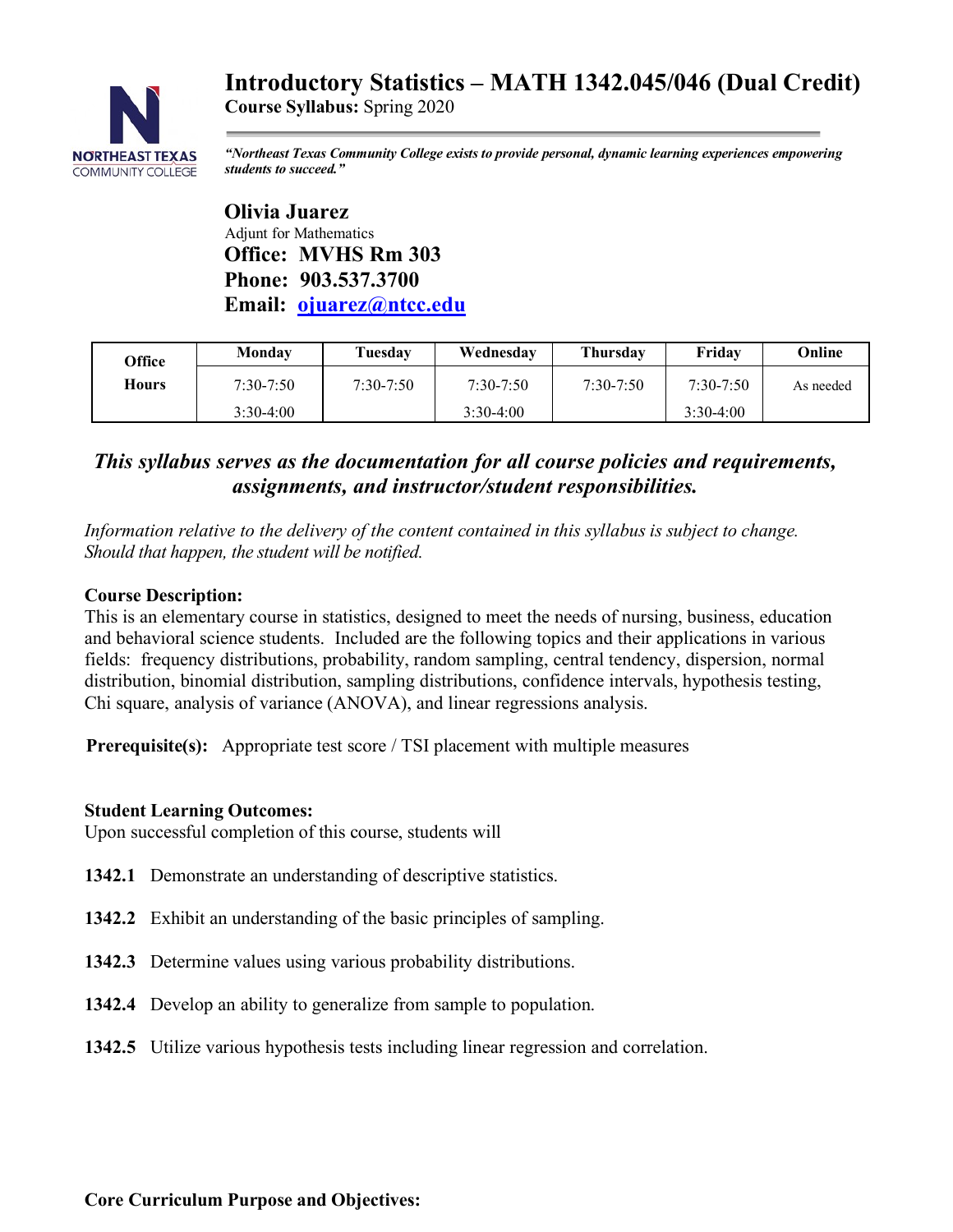# **Introductory Statistics – MATH 1342.045/046 (Dual Credit)**



**Course Syllabus:** Spring 2020

*"Northeast Texas Community College exists to provide personal, dynamic learning experiences empowering students to succeed."*

 **Olivia Juarez** Adjunt for Mathematics  **Office: MVHS Rm 303 Phone: 903.537.3700 Email: ojuarez@ntcc.edu**

| Office       | Monday        | Tuesdav       | Wednesday     | <b>Thursday</b> | Friday        | Online    |
|--------------|---------------|---------------|---------------|-----------------|---------------|-----------|
| <b>Hours</b> | $7:30 - 7:50$ | $7:30 - 7:50$ | $7:30 - 7:50$ | $7:30 - 7:50$   | $7:30 - 7:50$ | As needed |
|              | $3:30-4:00$   |               | $3:30-4:00$   |                 | $3:30-4:00$   |           |

## *This syllabus serves as the documentation for all course policies and requirements, assignments, and instructor/student responsibilities.*

*Information relative to the delivery of the content contained in this syllabus is subject to change. Should that happen, the student will be notified.*

## **Course Description:**

This is an elementary course in statistics, designed to meet the needs of nursing, business, education and behavioral science students. Included are the following topics and their applications in various fields: frequency distributions, probability, random sampling, central tendency, dispersion, normal distribution, binomial distribution, sampling distributions, confidence intervals, hypothesis testing, Chi square, analysis of variance (ANOVA), and linear regressions analysis.

**Prerequisite(s):** Appropriate test score / TSI placement with multiple measures

## **Student Learning Outcomes:**

Upon successful completion of this course, students will

- **1342.1** Demonstrate an understanding of descriptive statistics.
- **1342.2** Exhibit an understanding of the basic principles of sampling.
- **1342.3** Determine values using various probability distributions.
- **1342.4** Develop an ability to generalize from sample to population.
- **1342.5** Utilize various hypothesis tests including linear regression and correlation.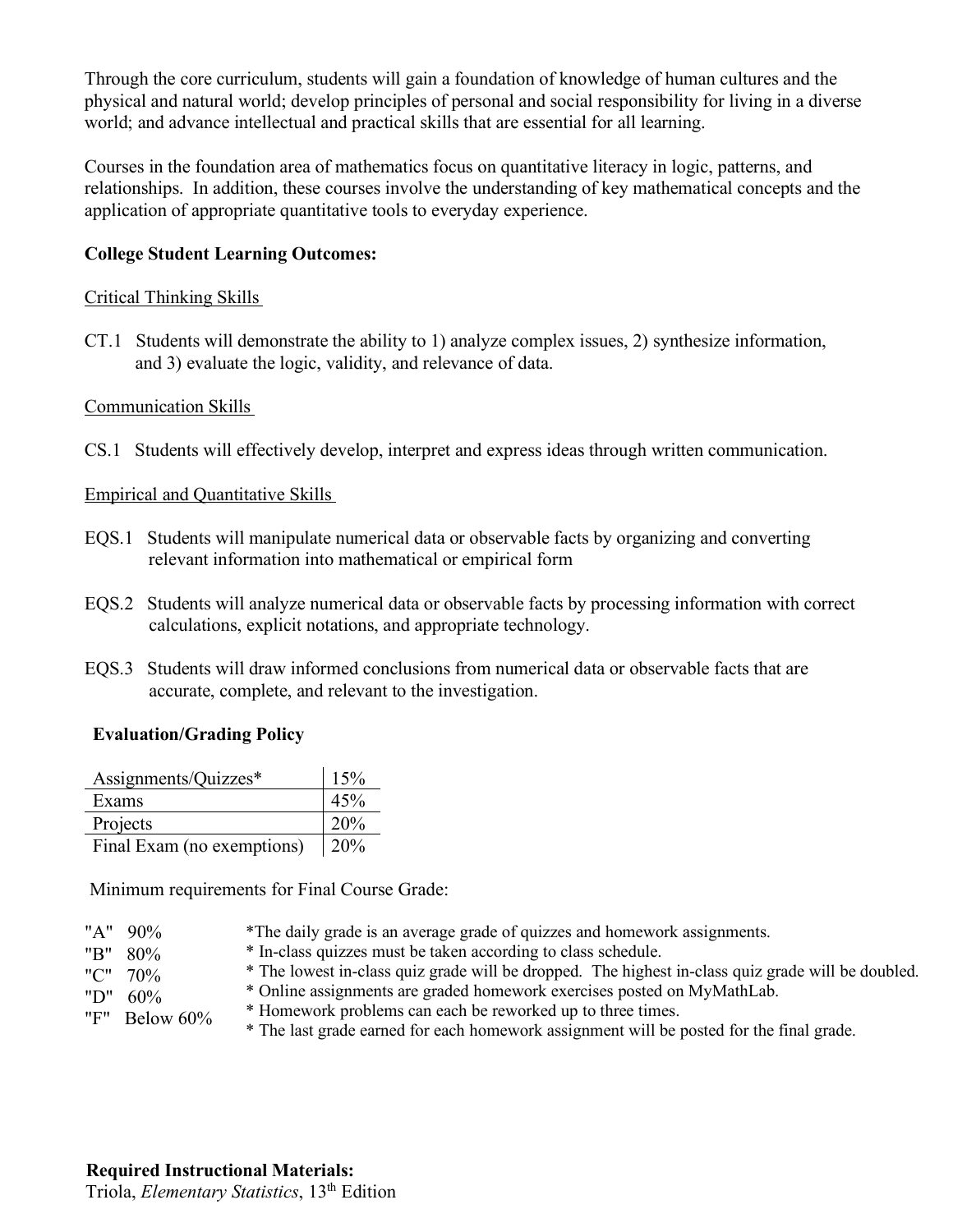Through the core curriculum, students will gain a foundation of knowledge of human cultures and the physical and natural world; develop principles of personal and social responsibility for living in a diverse world; and advance intellectual and practical skills that are essential for all learning.

Courses in the foundation area of mathematics focus on quantitative literacy in logic, patterns, and relationships. In addition, these courses involve the understanding of key mathematical concepts and the application of appropriate quantitative tools to everyday experience.

### **College Student Learning Outcomes:**

#### Critical Thinking Skills

CT.1 Students will demonstrate the ability to 1) analyze complex issues, 2) synthesize information, and 3) evaluate the logic, validity, and relevance of data.

#### Communication Skills

CS.1 Students will effectively develop, interpret and express ideas through written communication.

#### Empirical and Quantitative Skills

- EQS.1 Students will manipulate numerical data or observable facts by organizing and converting relevant information into mathematical or empirical form
- EQS.2 Students will analyze numerical data or observable facts by processing information with correct calculations, explicit notations, and appropriate technology.
- EQS.3 Students will draw informed conclusions from numerical data or observable facts that are accurate, complete, and relevant to the investigation.

#### **Evaluation/Grading Policy**

| Assignments/Quizzes*       | 15% |
|----------------------------|-----|
| Exams                      | 45% |
| Projects                   | 20% |
| Final Exam (no exemptions) | 20% |

Minimum requirements for Final Course Grade:

- "A" 90% \*The daily grade is an average grade of quizzes and homework assignments.
	- \* In-class quizzes must be taken according to class schedule.
	- \* The lowest in-class quiz grade will be dropped. The highest in-class quiz grade will be doubled.
	- \* Online assignments are graded homework exercises posted on MyMathLab.

"D" 60% "F" Below 60%

"B" 80% "C" 70%

- \* Homework problems can each be reworked up to three times.
- \* The last grade earned for each homework assignment will be posted for the final grade.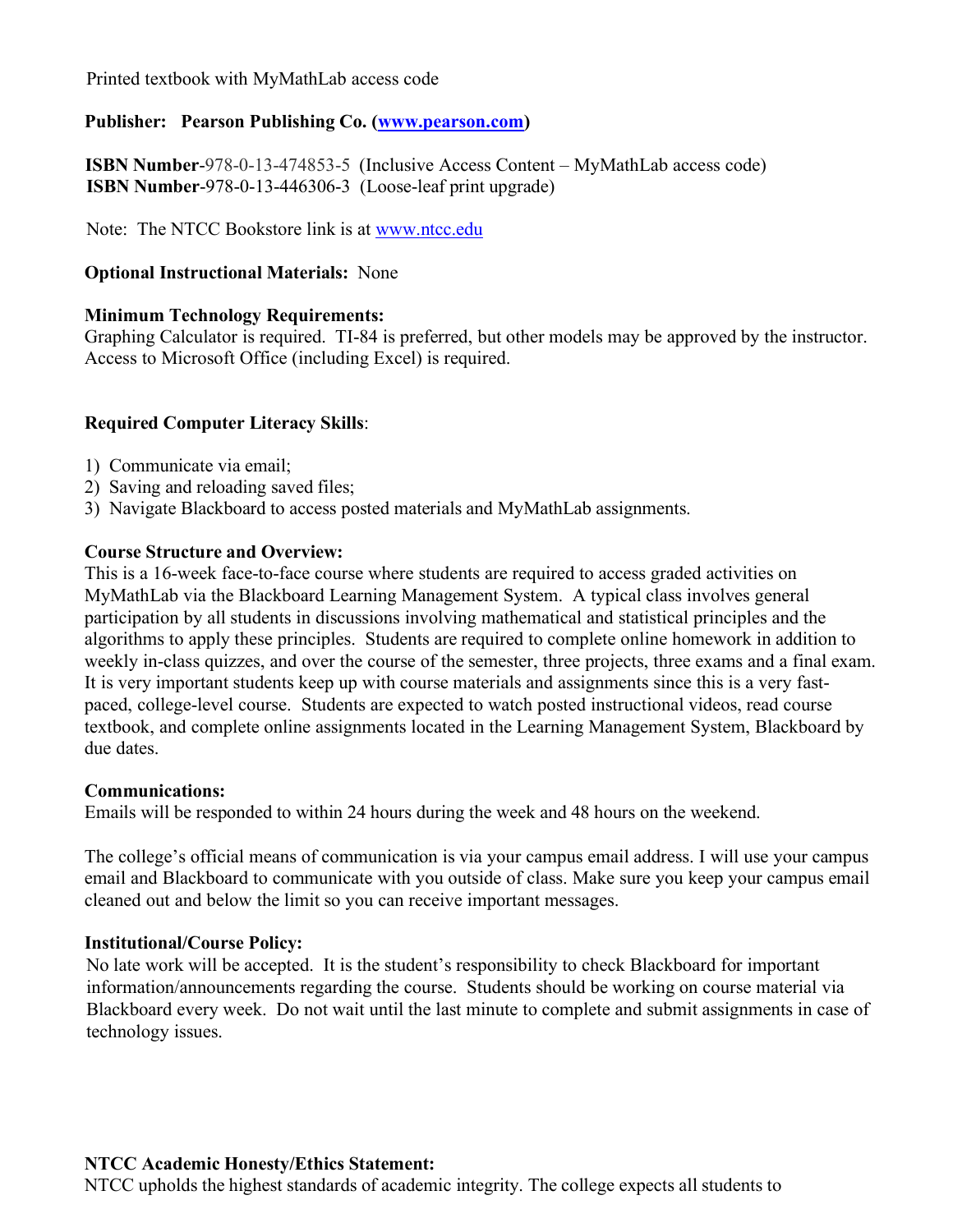Printed textbook with MyMathLab access code

## **Publisher: Pearson Publishing Co. (www.pearson.com)**

 **ISBN Number**-978-0-13-474853-5 (Inclusive Access Content – MyMathLab access code) **ISBN Number**-978-0-13-446306-3 (Loose-leaf print upgrade)

Note: The NTCC Bookstore link is at www.ntcc.edu

## **Optional Instructional Materials:** None

### **Minimum Technology Requirements:**

Graphing Calculator is required. TI-84 is preferred, but other models may be approved by the instructor. Access to Microsoft Office (including Excel) is required.

## **Required Computer Literacy Skills**:

- 1) Communicate via email;
- 2) Saving and reloading saved files;
- 3) Navigate Blackboard to access posted materials and MyMathLab assignments.

#### **Course Structure and Overview:**

This is a 16-week face-to-face course where students are required to access graded activities on MyMathLab via the Blackboard Learning Management System. A typical class involves general participation by all students in discussions involving mathematical and statistical principles and the algorithms to apply these principles. Students are required to complete online homework in addition to weekly in-class quizzes, and over the course of the semester, three projects, three exams and a final exam. It is very important students keep up with course materials and assignments since this is a very fastpaced, college-level course. Students are expected to watch posted instructional videos, read course textbook, and complete online assignments located in the Learning Management System, Blackboard by due dates.

#### **Communications:**

Emails will be responded to within 24 hours during the week and 48 hours on the weekend.

The college's official means of communication is via your campus email address. I will use your campus email and Blackboard to communicate with you outside of class. Make sure you keep your campus email cleaned out and below the limit so you can receive important messages.

#### **Institutional/Course Policy:**

 No late work will be accepted. It is the student's responsibility to check Blackboard for important information/announcements regarding the course. Students should be working on course material via Blackboard every week. Do not wait until the last minute to complete and submit assignments in case of technology issues.

#### **NTCC Academic Honesty/Ethics Statement:**

NTCC upholds the highest standards of academic integrity. The college expects all students to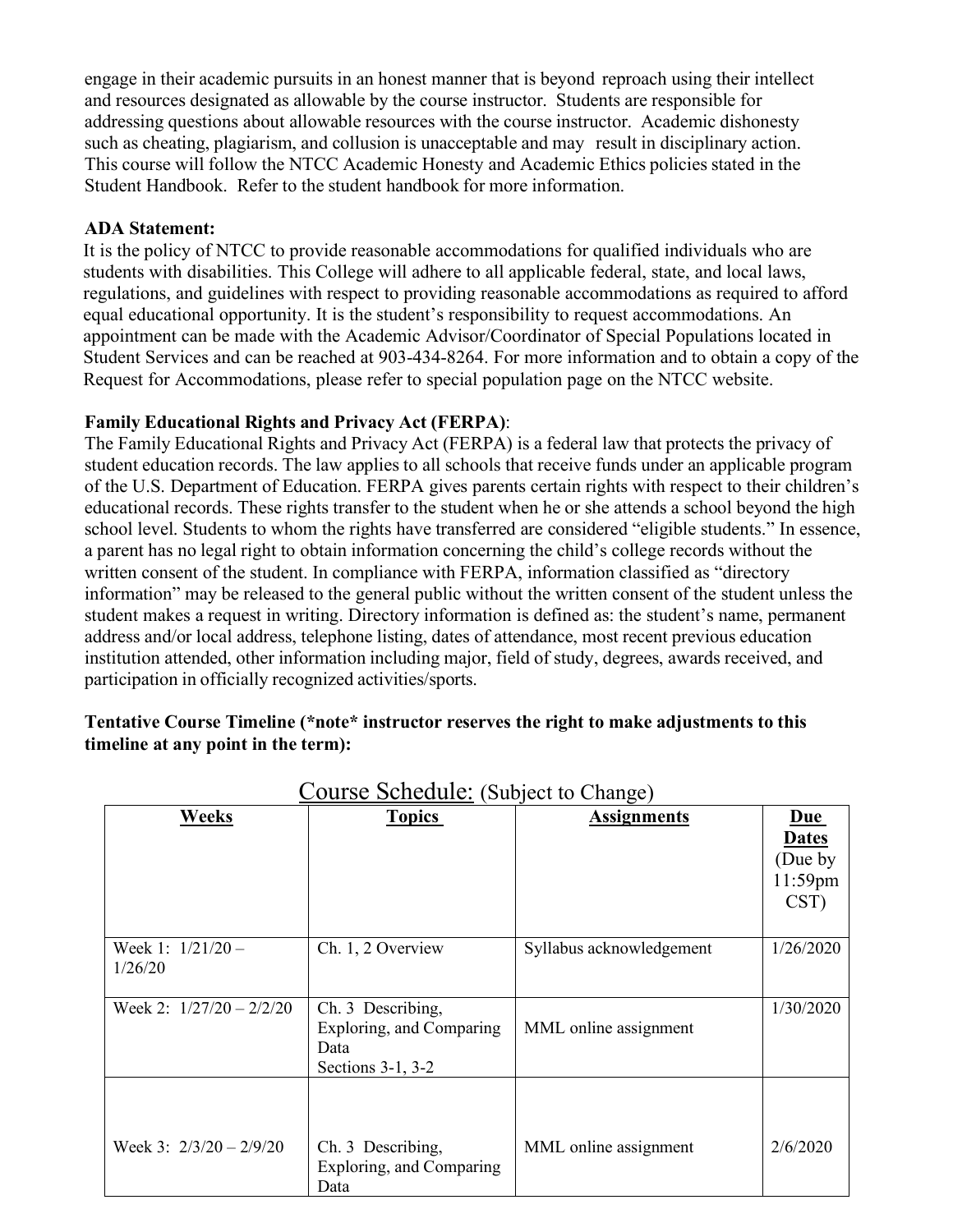engage in their academic pursuits in an honest manner that is beyond reproach using their intellect and resources designated as allowable by the course instructor. Students are responsible for addressing questions about allowable resources with the course instructor. Academic dishonesty such as cheating, plagiarism, and collusion is unacceptable and may result in disciplinary action. This course will follow the NTCC Academic Honesty and Academic Ethics policies stated in the Student Handbook. Refer to the student handbook for more information.

## **ADA Statement:**

It is the policy of NTCC to provide reasonable accommodations for qualified individuals who are students with disabilities. This College will adhere to all applicable federal, state, and local laws, regulations, and guidelines with respect to providing reasonable accommodations as required to afford equal educational opportunity. It is the student's responsibility to request accommodations. An appointment can be made with the Academic Advisor/Coordinator of Special Populations located in Student Services and can be reached at 903-434-8264. For more information and to obtain a copy of the Request for Accommodations, please refer to special population page on the NTCC website.

#### **Family Educational Rights and Privacy Act (FERPA)**:

The Family Educational Rights and Privacy Act (FERPA) is a federal law that protects the privacy of student education records. The law applies to all schools that receive funds under an applicable program of the U.S. Department of Education. FERPA gives parents certain rights with respect to their children's educational records. These rights transfer to the student when he or she attends a school beyond the high school level. Students to whom the rights have transferred are considered "eligible students." In essence, a parent has no legal right to obtain information concerning the child's college records without the written consent of the student. In compliance with FERPA, information classified as "directory information" may be released to the general public without the written consent of the student unless the student makes a request in writing. Directory information is defined as: the student's name, permanent address and/or local address, telephone listing, dates of attendance, most recent previous education institution attended, other information including major, field of study, degrees, awards received, and participation in officially recognized activities/sports.

#### **Tentative Course Timeline (\*note\* instructor reserves the right to make adjustments to this timeline at any point in the term):**

| <b>Weeks</b>                   | <b>Topics</b>                                                              | <b>Assignments</b>       | $Due$                                      |
|--------------------------------|----------------------------------------------------------------------------|--------------------------|--------------------------------------------|
|                                |                                                                            |                          | <b>Dates</b><br>(Due by<br>11:59pm<br>CST) |
| Week 1: $1/21/20 -$<br>1/26/20 | Ch. 1, 2 Overview                                                          | Syllabus acknowledgement | 1/26/2020                                  |
| Week 2: $1/27/20 - 2/2/20$     | Ch. 3 Describing,<br>Exploring, and Comparing<br>Data<br>Sections 3-1, 3-2 | MML online assignment    | 1/30/2020                                  |
| Week 3: $2/3/20 - 2/9/20$      | Ch. 3 Describing,<br>Exploring, and Comparing<br>Data                      | MML online assignment    | 2/6/2020                                   |

Course Schedule: (Subject to Change)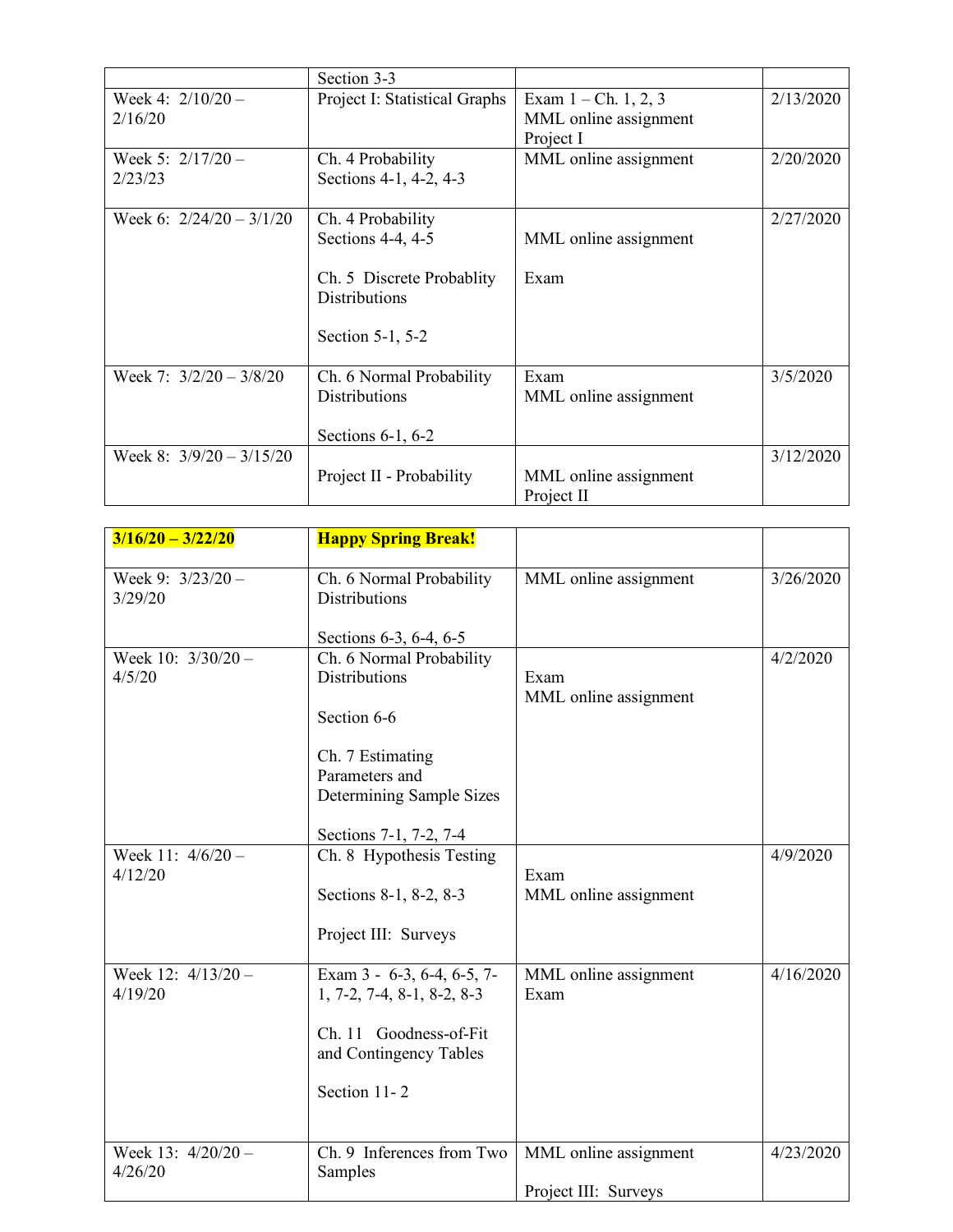|                                | Section 3-3                                                                                                     |                                                              |           |
|--------------------------------|-----------------------------------------------------------------------------------------------------------------|--------------------------------------------------------------|-----------|
| Week 4: $2/10/20 -$<br>2/16/20 | Project I: Statistical Graphs                                                                                   | Exam $1 - Ch. 1, 2, 3$<br>MML online assignment<br>Project I | 2/13/2020 |
| Week 5: $2/17/20 -$<br>2/23/23 | Ch. 4 Probability<br>Sections 4-1, 4-2, 4-3                                                                     | MML online assignment                                        | 2/20/2020 |
| Week 6: $2/24/20 - 3/1/20$     | Ch. 4 Probability<br>Sections 4-4, 4-5<br>Ch. 5 Discrete Probablity<br><b>Distributions</b><br>Section 5-1, 5-2 | MML online assignment<br>Exam                                | 2/27/2020 |
| Week 7: $3/2/20 - 3/8/20$      | Ch. 6 Normal Probability<br><b>Distributions</b><br>Sections $6-1$ , $6-2$                                      | Exam<br>MML online assignment                                | 3/5/2020  |
| Week 8: $3/9/20 - 3/15/20$     | Project II - Probability                                                                                        | MML online assignment<br>Project II                          | 3/12/2020 |

| $3/16/20 - 3/22/20$             | <b>Happy Spring Break!</b>                                 |                               |           |
|---------------------------------|------------------------------------------------------------|-------------------------------|-----------|
| Week 9: $3/23/20 -$<br>3/29/20  | Ch. 6 Normal Probability<br><b>Distributions</b>           | MML online assignment         | 3/26/2020 |
|                                 | Sections 6-3, 6-4, 6-5                                     |                               |           |
| Week 10: $3/30/20 -$            | Ch. 6 Normal Probability                                   |                               | 4/2/2020  |
| 4/5/20                          | <b>Distributions</b>                                       | Exam<br>MML online assignment |           |
|                                 | Section 6-6                                                |                               |           |
|                                 | Ch. 7 Estimating                                           |                               |           |
|                                 | Parameters and                                             |                               |           |
|                                 | Determining Sample Sizes                                   |                               |           |
|                                 | Sections 7-1, 7-2, 7-4                                     |                               |           |
| Week 11: 4/6/20 -               | Ch. 8 Hypothesis Testing                                   |                               | 4/9/2020  |
| 4/12/20                         | Sections 8-1, 8-2, 8-3                                     | Exam<br>MML online assignment |           |
|                                 | Project III: Surveys                                       |                               |           |
| Week $12: 4/13/20 -$<br>4/19/20 | Exam 3 - 6-3, 6-4, 6-5, 7-<br>$1, 7-2, 7-4, 8-1, 8-2, 8-3$ | MML online assignment<br>Exam | 4/16/2020 |
|                                 | Ch. 11 Goodness-of-Fit<br>and Contingency Tables           |                               |           |
|                                 | Section 11-2                                               |                               |           |
|                                 |                                                            |                               |           |
| Week 13: $4/20/20 -$            | Ch. 9 Inferences from Two                                  | MML online assignment         | 4/23/2020 |
| 4/26/20                         | Samples                                                    | Project III: Surveys          |           |